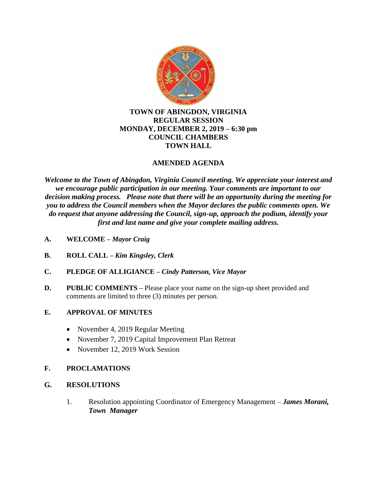

### **TOWN OF ABINGDON, VIRGINIA REGULAR SESSION MONDAY, DECEMBER 2, 2019 – 6:30 pm COUNCIL CHAMBERS TOWN HALL**

## **AMENDED AGENDA**

*Welcome to the Town of Abingdon, Virginia Council meeting. We appreciate your interest and we encourage public participation in our meeting. Your comments are important to our decision making process. Please note that there will be an opportunity during the meeting for you to address the Council members when the Mayor declares the public comments open. We do request that anyone addressing the Council, sign-up, approach the podium, identify your first and last name and give your complete mailing address.*

- **A. WELCOME –** *Mayor Craig*
- **B. ROLL CALL –** *Kim Kingsley, Clerk*
- **C. PLEDGE OF ALLIGIANCE –** *Cindy Patterson, Vice Mayor*
- **D.** PUBLIC COMMENTS Please place your name on the sign-up sheet provided and comments are limited to three (3) minutes per person.

### **E. APPROVAL OF MINUTES**

- November 4, 2019 Regular Meeting
- November 7, 2019 Capital Improvement Plan Retreat
- November 12, 2019 Work Session

### **F. PROCLAMATIONS**

- **G. RESOLUTIONS**
	- 1. Resolution appointing Coordinator of Emergency Management *James Morani, Town Manager*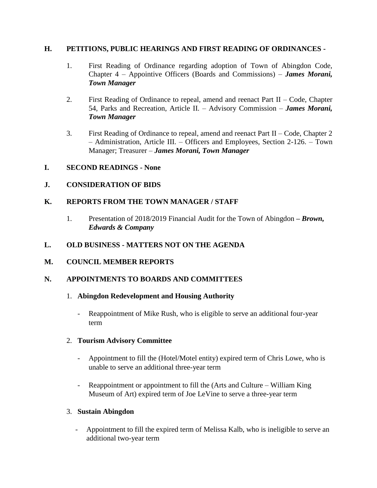### **H. PETITIONS, PUBLIC HEARINGS AND FIRST READING OF ORDINANCES -**

- 1. First Reading of Ordinance regarding adoption of Town of Abingdon Code, Chapter 4 – Appointive Officers (Boards and Commissions) – *James Morani, Town Manager*
- 2. First Reading of Ordinance to repeal, amend and reenact Part II Code, Chapter 54, Parks and Recreation, Article II. – Advisory Commission – *James Morani, Town Manager*
- 3. First Reading of Ordinance to repeal, amend and reenact Part II Code, Chapter 2 – Administration, Article III. – Officers and Employees, Section 2-126. – Town Manager; Treasurer – *James Morani, Town Manager*
- **I. SECOND READINGS - None**

## **J. CONSIDERATION OF BIDS**

## **K. REPORTS FROM THE TOWN MANAGER / STAFF**

1. Presentation of 2018/2019 Financial Audit for the Town of Abingdon *– Brown, Edwards & Company*

## **L. OLD BUSINESS - MATTERS NOT ON THE AGENDA**

## **M. COUNCIL MEMBER REPORTS**

### **N. APPOINTMENTS TO BOARDS AND COMMITTEES**

### 1. **Abingdon Redevelopment and Housing Authority**

- Reappointment of Mike Rush, who is eligible to serve an additional four-year term

### 2. **Tourism Advisory Committee**

- Appointment to fill the (Hotel/Motel entity) expired term of Chris Lowe, who is unable to serve an additional three-year term
- Reappointment or appointment to fill the (Arts and Culture William King Museum of Art) expired term of Joe LeVine to serve a three-year term

## 3. **Sustain Abingdon**

Appointment to fill the expired term of Melissa Kalb, who is ineligible to serve an additional two-year term